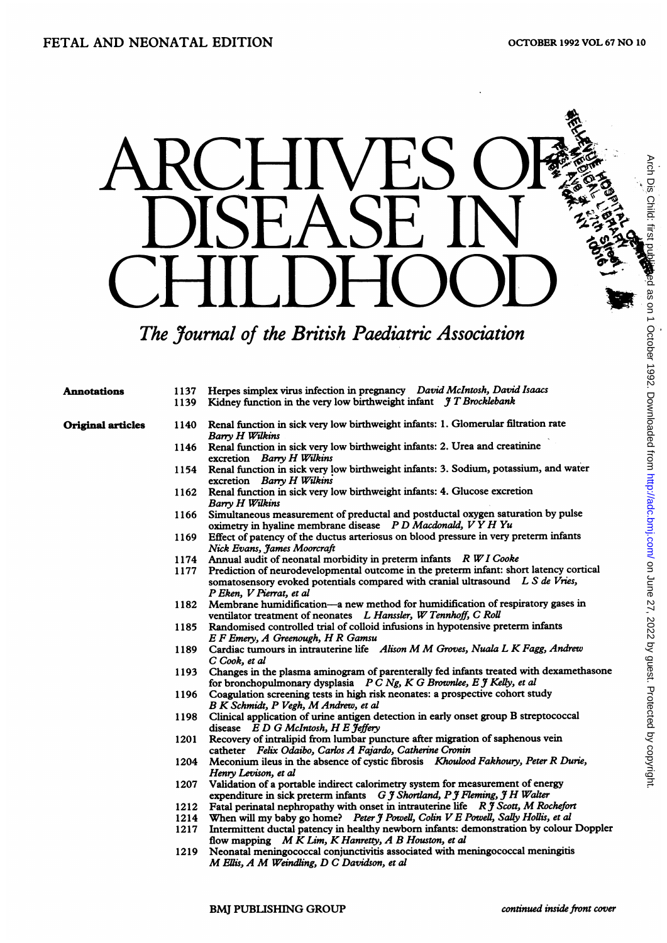## ARCHIVES OF DISEASE IN CHILDHOOD

## The Journal of the British Paediatric Association

| Annotations              | 1139 | 1137 Herpes simplex virus infection in pregnancy David McIntosh, David Isaacs<br>Kidney function in the very low birthweight infant $\mathcal{J}$ T Brocklebank                                      |
|--------------------------|------|------------------------------------------------------------------------------------------------------------------------------------------------------------------------------------------------------|
| <b>Original articles</b> | 1140 | Renal function in sick very low birthweight infants: 1. Glomerular filtration rate<br>Barry H Wilkins                                                                                                |
|                          |      | 1146 Renal function in sick very low birthweight infants: 2. Urea and creatinine<br>excretion Barry H Wilkins                                                                                        |
|                          |      | 1154 Renal function in sick very low birthweight infants: 3. Sodium, potassium, and water<br>excretion Barry H Wilkins                                                                               |
|                          | 1162 | Renal function in sick very low birthweight infants: 4. Glucose excretion<br>Barry H Wilkins                                                                                                         |
|                          | 1166 | Simultaneous measurement of preductal and postductal oxygen saturation by pulse<br>oximetry in hyaline membrane disease PD Macdonald, VYH Yu                                                         |
|                          | 1169 | Effect of patency of the ductus arteriosus on blood pressure in very preterm infants<br>Nick Evans, James Moorcraft                                                                                  |
|                          |      | 1174 Annual audit of neonatal morbidity in preterm infants R W I Cooke                                                                                                                               |
|                          | 1177 | Prediction of neurodevelopmental outcome in the preterm infant: short latency cortical<br>somatosensory evoked potentials compared with cranial ultrasound L S de Vries,<br>P Eken, V Pierrat, et al |
|                          | 1182 | Membrane humidification-a new method for humidification of respiratory gases in<br>ventilator treatment of neonates L Hanssler, W Tennhoff, C Roll                                                   |
|                          | 1185 | Randomised controlled trial of colloid infusions in hypotensive preterm infants<br>E F Emery, A Greenough, H R Gamsu                                                                                 |
|                          | 1189 | Cardiac tumours in intrauterine life Alison M M Groves, Nuala L K Fagg, Andrew<br>C Cook, et al                                                                                                      |
|                          | 1193 | Changes in the plasma aminogram of parenterally fed infants treated with dexamethasone<br>for bronchopulmonary dysplasia P C Ng, K G Brownlee, E J Kelly, et al                                      |
|                          | 1196 | Coagulation screening tests in high risk neonates: a prospective cohort study<br>B K Schmidt, P Vegh, M Andrew, et al                                                                                |
|                          | 1198 | Clinical application of urine antigen detection in early onset group B streptococcal<br>disease E D G McIntosh, H E Jeffery                                                                          |
|                          | 1201 | Recovery of intralipid from lumbar puncture after migration of saphenous vein<br>catheter Felix Odaibo, Carlos A Fajardo, Catherine Cronin                                                           |
|                          | 1204 | Meconium ileus in the absence of cystic fibrosis Khoulood Fakhoury, Peter R Durie,<br>Henry Levison, et al                                                                                           |
|                          | 1207 | Validation of a portable indirect calorimetry system for measurement of energy<br>expenditure in sick preterm infants G J Shortland, P J Fleming, J H Walter                                         |
|                          | 1212 | Fatal perinatal nephropathy with onset in intrauterine life R J Scott, M Rochefort                                                                                                                   |
|                          | 1214 | When will my baby go home? Peter J Powell, Colin V E Powell, Sally Hollis, et al                                                                                                                     |
|                          | 1217 | Intermittent ductal patency in healthy newborn infants: demonstration by colour Doppler                                                                                                              |

- 1217 Intermittent ductal patency in healthy newborn infants: demonstration by colour Doppler flow mapping M K Lim, K Hanretty, A B Houston, et al
- 1219 Neonatal meningococcal conjunctivitis associated with meningococcal meningitis M Ellis, A M Weindling, D <sup>C</sup> Davidson, et al